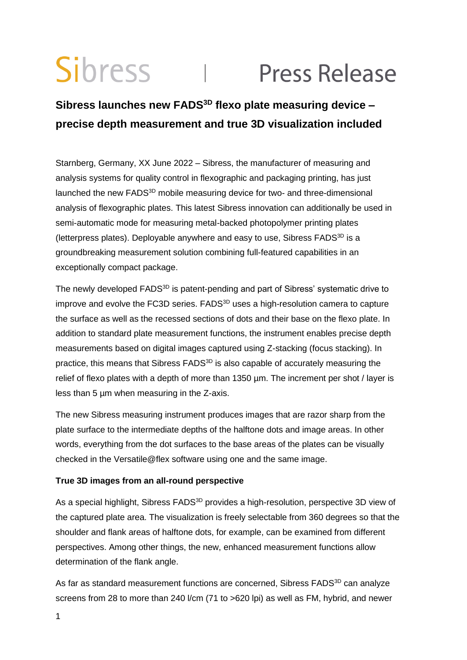# **Sibress Press Release**

# **Sibress launches new FADS3D flexo plate measuring device – precise depth measurement and true 3D visualization included**

Starnberg, Germany, XX June 2022 – Sibress, the manufacturer of measuring and analysis systems for quality control in flexographic and packaging printing, has just launched the new FADS<sup>3D</sup> mobile measuring device for two- and three-dimensional analysis of flexographic plates. This latest Sibress innovation can additionally be used in semi-automatic mode for measuring metal-backed photopolymer printing plates (letterpress plates). Deployable anywhere and easy to use, Sibress FADS<sup>3D</sup> is a groundbreaking measurement solution combining full-featured capabilities in an exceptionally compact package.

The newly developed FADS<sup>3D</sup> is patent-pending and part of Sibress' systematic drive to improve and evolve the FC3D series. FADS<sup>3D</sup> uses a high-resolution camera to capture the surface as well as the recessed sections of dots and their base on the flexo plate. In addition to standard plate measurement functions, the instrument enables precise depth measurements based on digital images captured using Z-stacking (focus stacking). In practice, this means that Sibress FADS<sup>3D</sup> is also capable of accurately measuring the relief of flexo plates with a depth of more than 1350 µm. The increment per shot / layer is less than 5 µm when measuring in the Z-axis.

The new Sibress measuring instrument produces images that are razor sharp from the plate surface to the intermediate depths of the halftone dots and image areas. In other words, everything from the dot surfaces to the base areas of the plates can be visually checked in the Versatile@flex software using one and the same image.

## **True 3D images from an all-round perspective**

As a special highlight, Sibress FADS<sup>3D</sup> provides a high-resolution, perspective 3D view of the captured plate area. The visualization is freely selectable from 360 degrees so that the shoulder and flank areas of halftone dots, for example, can be examined from different perspectives. Among other things, the new, enhanced measurement functions allow determination of the flank angle.

As far as standard measurement functions are concerned, Sibress FADS<sup>3D</sup> can analyze screens from 28 to more than 240 l/cm (71 to >620 lpi) as well as FM, hybrid, and newer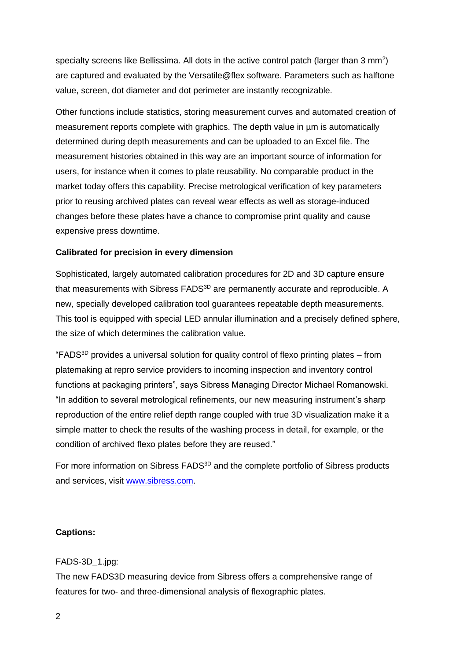specialty screens like Bellissima. All dots in the active control patch (larger than 3 mm<sup>2</sup>) are captured and evaluated by the Versatile@flex software. Parameters such as halftone value, screen, dot diameter and dot perimeter are instantly recognizable.

Other functions include statistics, storing measurement curves and automated creation of measurement reports complete with graphics. The depth value in µm is automatically determined during depth measurements and can be uploaded to an Excel file. The measurement histories obtained in this way are an important source of information for users, for instance when it comes to plate reusability. No comparable product in the market today offers this capability. Precise metrological verification of key parameters prior to reusing archived plates can reveal wear effects as well as storage-induced changes before these plates have a chance to compromise print quality and cause expensive press downtime.

### **Calibrated for precision in every dimension**

Sophisticated, largely automated calibration procedures for 2D and 3D capture ensure that measurements with Sibress FADS<sup>3D</sup> are permanently accurate and reproducible. A new, specially developed calibration tool guarantees repeatable depth measurements. This tool is equipped with special LED annular illumination and a precisely defined sphere, the size of which determines the calibration value.

"FADS3D provides a universal solution for quality control of flexo printing plates – from platemaking at repro service providers to incoming inspection and inventory control functions at packaging printers", says Sibress Managing Director Michael Romanowski. "In addition to several metrological refinements, our new measuring instrument's sharp reproduction of the entire relief depth range coupled with true 3D visualization make it a simple matter to check the results of the washing process in detail, for example, or the condition of archived flexo plates before they are reused."

For more information on Sibress FADS<sup>3D</sup> and the complete portfolio of Sibress products and services, visit [www.sibress.com.](http://www.sibress.com/)

#### **Captions:**

#### FADS-3D\_1.jpg:

The new FADS3D measuring device from Sibress offers a comprehensive range of features for two- and three-dimensional analysis of flexographic plates.